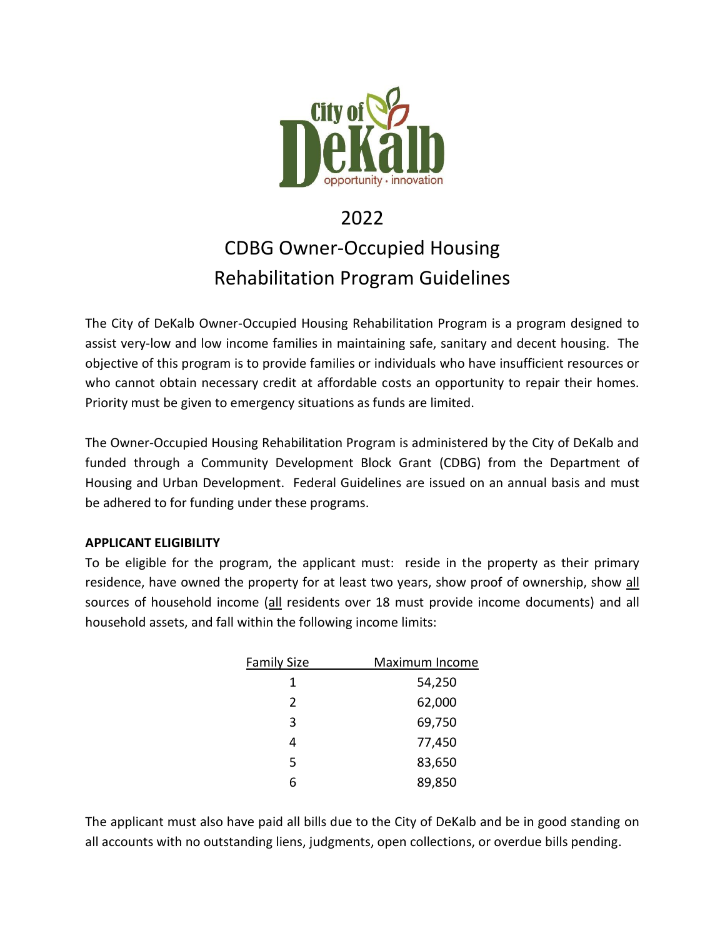

# 2022 CDBG Owner-Occupied Housing Rehabilitation Program Guidelines

The City of DeKalb Owner-Occupied Housing Rehabilitation Program is a program designed to assist very-low and low income families in maintaining safe, sanitary and decent housing. The objective of this program is to provide families or individuals who have insufficient resources or who cannot obtain necessary credit at affordable costs an opportunity to repair their homes. Priority must be given to emergency situations as funds are limited.

The Owner-Occupied Housing Rehabilitation Program is administered by the City of DeKalb and funded through a Community Development Block Grant (CDBG) from the Department of Housing and Urban Development. Federal Guidelines are issued on an annual basis and must be adhered to for funding under these programs.

### **APPLICANT ELIGIBILITY**

To be eligible for the program, the applicant must: reside in the property as their primary residence, have owned the property for at least two years, show proof of ownership, show all sources of household income (all residents over 18 must provide income documents) and all household assets, and fall within the following income limits:

| <b>Family Size</b> | Maximum Income |  |
|--------------------|----------------|--|
| 1                  | 54,250         |  |
| $\overline{2}$     | 62,000         |  |
| 3                  | 69,750         |  |
| 4                  | 77,450         |  |
| 5                  | 83,650         |  |
| 6                  | 89,850         |  |

The applicant must also have paid all bills due to the City of DeKalb and be in good standing on all accounts with no outstanding liens, judgments, open collections, or overdue bills pending.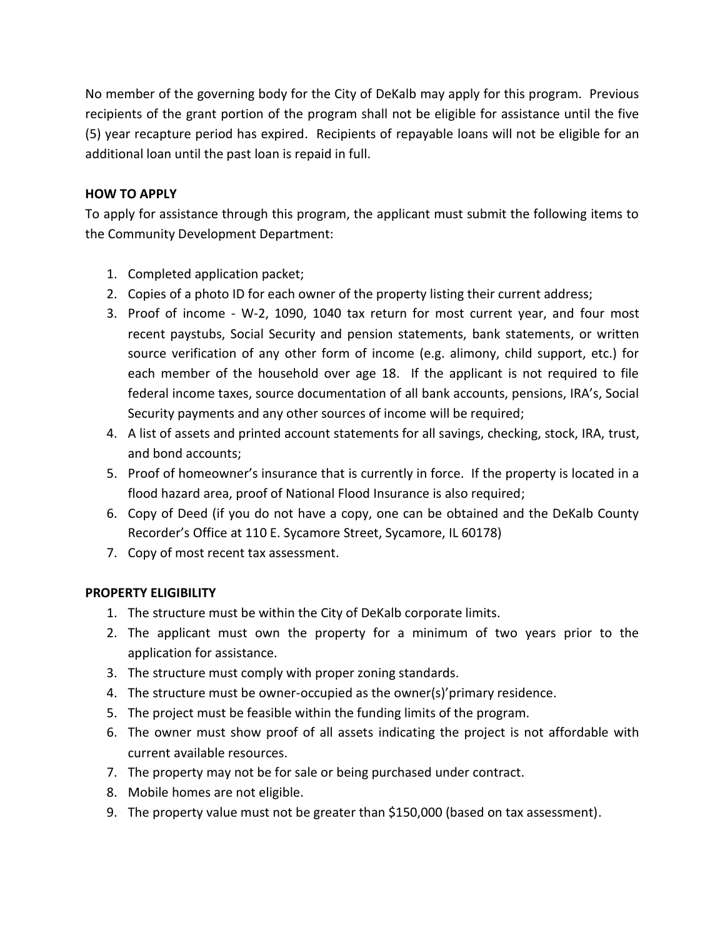No member of the governing body for the City of DeKalb may apply for this program. Previous recipients of the grant portion of the program shall not be eligible for assistance until the five (5) year recapture period has expired. Recipients of repayable loans will not be eligible for an additional loan until the past loan is repaid in full.

## **HOW TO APPLY**

To apply for assistance through this program, the applicant must submit the following items to the Community Development Department:

- 1. Completed application packet;
- 2. Copies of a photo ID for each owner of the property listing their current address;
- 3. Proof of income W-2, 1090, 1040 tax return for most current year, and four most recent paystubs, Social Security and pension statements, bank statements, or written source verification of any other form of income (e.g. alimony, child support, etc.) for each member of the household over age 18. If the applicant is not required to file federal income taxes, source documentation of all bank accounts, pensions, IRA's, Social Security payments and any other sources of income will be required;
- 4. A list of assets and printed account statements for all savings, checking, stock, IRA, trust, and bond accounts;
- 5. Proof of homeowner's insurance that is currently in force. If the property is located in a flood hazard area, proof of National Flood Insurance is also required;
- 6. Copy of Deed (if you do not have a copy, one can be obtained and the DeKalb County Recorder's Office at 110 E. Sycamore Street, Sycamore, IL 60178)
- 7. Copy of most recent tax assessment.

### **PROPERTY ELIGIBILITY**

- 1. The structure must be within the City of DeKalb corporate limits.
- 2. The applicant must own the property for a minimum of two years prior to the application for assistance.
- 3. The structure must comply with proper zoning standards.
- 4. The structure must be owner-occupied as the owner(s)'primary residence.
- 5. The project must be feasible within the funding limits of the program.
- 6. The owner must show proof of all assets indicating the project is not affordable with current available resources.
- 7. The property may not be for sale or being purchased under contract.
- 8. Mobile homes are not eligible.
- 9. The property value must not be greater than \$150,000 (based on tax assessment).